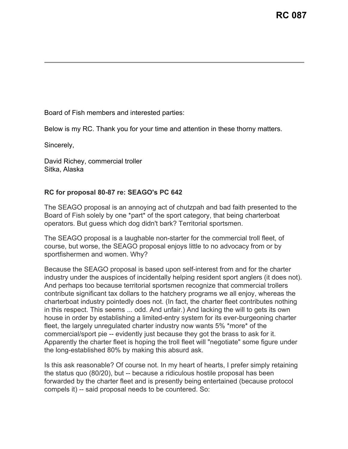Board of Fish members and interested parties:

Below is my RC. Thank you for your time and attention in these thorny matters.

Sincerely,

David Richey, commercial troller Sitka, Alaska

## **RC for proposal 80-87 re: SEAGO's PC 642**

The SEAGO proposal is an annoying act of chutzpah and bad faith presented to the Board of Fish solely by one \*part\* of the sport category, that being charterboat operators. But guess which dog didn't bark? Territorial sportsmen.

The SEAGO proposal is a laughable non-starter for the commercial troll fleet, of course, but worse, the SEAGO proposal enjoys little to no advocacy from or by sportfishermen and women. Why?

Because the SEAGO proposal is based upon self-interest from and for the charter industry under the auspices of incidentally helping resident sport anglers (it does not). And perhaps too because territorial sportsmen recognize that commercial trollers contribute significant tax dollars to the hatchery programs we all enjoy, whereas the charterboat industry pointedly does not. (In fact, the charter fleet contributes nothing in this respect. This seems ... odd. And unfair.) And lacking the will to gets its own house in order by establishing a limited-entry system for its ever-burgeoning charter fleet, the largely unregulated charter industry now wants 5% \*more\* of the commercial/sport pie -- evidently just because they got the brass to ask for it. Apparently the charter fleet is hoping the troll fleet will "negotiate" some figure under the long-established 80% by making this absurd ask.

Is this ask reasonable? Of course not. In my heart of hearts, I prefer simply retaining the status quo (80/20), but -- because a ridiculous hostile proposal has been forwarded by the charter fleet and is presently being entertained (because protocol compels it) -- said proposal needs to be countered. So: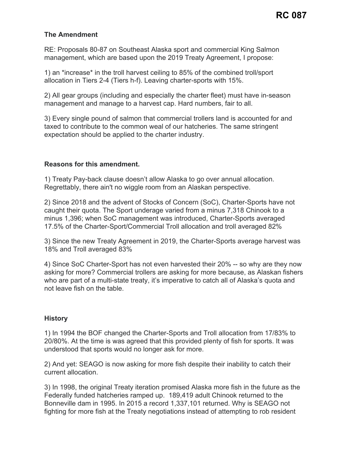## **The Amendment**

RE: Proposals 80-87 on Southeast Alaska sport and commercial King Salmon management, which are based upon the 2019 Treaty Agreement, I propose:

1) an \*increase\* in the troll harvest ceiling to 85% of the combined troll/sport allocation in Tiers 2-4 (Tiers h-f). Leaving charter-sports with 15%.

2) All gear groups (including and especially the charter fleet) must have in-season management and manage to a harvest cap. Hard numbers, fair to all.

3) Every single pound of salmon that commercial trollers land is accounted for and taxed to contribute to the common weal of our hatcheries. The same stringent expectation should be applied to the charter industry.

## **Reasons for this amendment.**

1) Treaty Pay-back clause doesn't allow Alaska to go over annual allocation. Regrettably, there ain't no wiggle room from an Alaskan perspective.

2) Since 2018 and the advent of Stocks of Concern (SoC), Charter-Sports have not caught their quota. The Sport underage varied from a minus 7,318 Chinook to a minus 1,396; when SoC management was introduced, Charter-Sports averaged 17.5% of the Charter-Sport/Commercial Troll allocation and troll averaged 82%

3) Since the new Treaty Agreement in 2019, the Charter-Sports average harvest was 18% and Troll averaged 83%

4) Since SoC Charter-Sport has not even harvested their 20% -- so why are they now asking for more? Commercial trollers are asking for more because, as Alaskan fishers who are part of a multi-state treaty, it's imperative to catch all of Alaska's quota and not leave fish on the table.

## **History**

1) In 1994 the BOF changed the Charter-Sports and Troll allocation from 17/83% to 20/80%. At the time is was agreed that this provided plenty of fish for sports. It was understood that sports would no longer ask for more.

2) And yet: SEAGO is now asking for more fish despite their inability to catch their current allocation.

3) In 1998, the original Treaty iteration promised Alaska more fish in the future as the Federally funded hatcheries ramped up. 189,419 adult Chinook returned to the Bonneville dam in 1995. In 2015 a record 1,337,101 returned. Why is SEAGO not fighting for more fish at the Treaty negotiations instead of attempting to rob resident